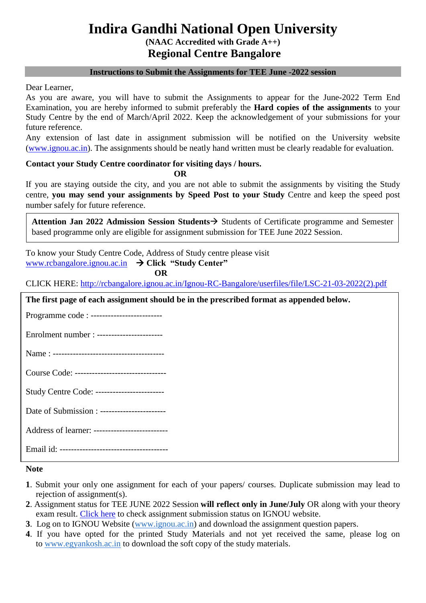## **Indira Gandhi National Open University (NAAC Accredited with Grade A++) Regional Centre Bangalore**

## **Instructions to Submit the Assignments for TEE June -2022 session**

Dear Learner,

.

As you are aware, you will have to submit the Assignments to appear for the June-2022 Term End Examination, you are hereby informed to submit preferably the **Hard copies of the assignments** to your Study Centre by the end of March/April 2022. Keep the acknowledgement of your submissions for your future reference.

Any extension of last date in assignment submission will be notified on the University website [\(www.ignou.ac.in\)](http://www.ignou.ac.in/). The assignments should be neatly hand written must be clearly readable for evaluation.

## **Contact your Study Centre coordinator for visiting days / hours.**

*OR* 

If you are staying outside the city, and you are not able to submit the assignments by visiting the Study centre, **you may send your assignments by Speed Post to your Study** Centre and keep the speed post number safely for future reference.

Attention Jan 2022 Admission Session Students  $\rightarrow$  Students of Certificate programme and Semester based programme only are eligible for assignment submission for TEE June 2022 Session.

To know your Study Centre Code, Address of Study centre please visit [www.rcbangalore.ignou.ac.in](http://www.rcbangalore.ignou.ac.in/) **Click "Study Center"** 

**OR** 

CLICK HERE: [http://rcbangalore.ignou.ac.in/Ignou-RC-Bangalore/userfiles/file/LSC-21-03-2022\(2\).pdf](http://rcbangalore.ignou.ac.in/Ignou-RC-Bangalore/userfiles/file/LSC-21-03-2022(2).pdf)

| The first page of each assignment should be in the prescribed format as appended below. |  |  |  |  |
|-----------------------------------------------------------------------------------------|--|--|--|--|
| Programme code : -------------------------                                              |  |  |  |  |
| Enrolment number : -----------------------                                              |  |  |  |  |
|                                                                                         |  |  |  |  |
| Course Code: ---------------------------------                                          |  |  |  |  |
| Study Centre Code: ------------------------                                             |  |  |  |  |
| Date of Submission : ------------------------                                           |  |  |  |  |
| Address of learner: --------------------------                                          |  |  |  |  |
|                                                                                         |  |  |  |  |

## **Note**

- **1**. Submit your only one assignment for each of your papers/ courses. Duplicate submission may lead to rejection of assignment(s).
- **2**. Assignment status for TEE JUNE 2022 Session **will reflect only in June/July** OR along with your theory exam result. [Click here](https://admission.ignou.ac.in/changeadmdata/StatusAssignment.asp) to check assignment submission status on IGNOU website.
- **3**. Log on to IGNOU Website [\(www.ignou.ac.in\)](http://www.ignou.ac.in/) and download the assignment question papers.
- **4**. If you have opted for the printed Study Materials and not yet received the same, please log on to [www.egyankosh.ac.in](http://www.egyankosh.ac.in/) to download the soft copy of the study materials.